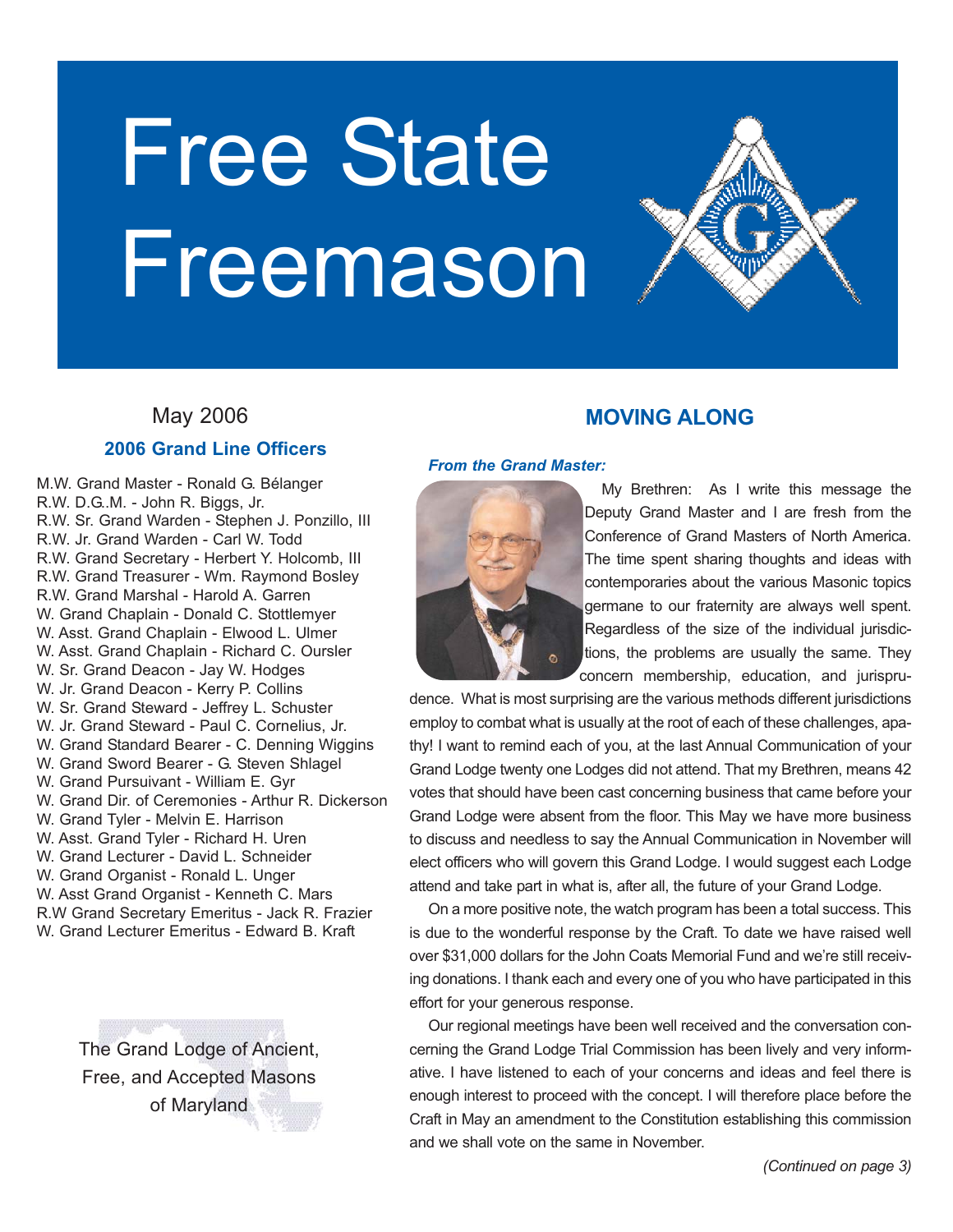



### May 2006

## **2006 Grand Line Officers**

M.W. Grand Master - Ronald G. Bélanger R.W. D.G..M. - John R. Biggs, Jr. R.W. Sr. Grand Warden - Stephen J. Ponzillo, III R.W. Jr. Grand Warden - Carl W. Todd R.W. Grand Secretary - Herbert Y. Holcomb, III R.W. Grand Treasurer - Wm. Raymond Bosley R.W. Grand Marshal - Harold A. Garren W. Grand Chaplain - Donald C. Stottlemyer W. Asst. Grand Chaplain - Elwood L. Ulmer W. Asst. Grand Chaplain - Richard C. Oursler W. Sr. Grand Deacon - Jay W. Hodges W. Jr. Grand Deacon - Kerry P. Collins W. Sr. Grand Steward - Jeffrey L. Schuster W. Jr. Grand Steward - Paul C. Cornelius, Jr. W. Grand Standard Bearer - C. Denning Wiggins W. Grand Sword Bearer - G. Steven Shlagel W. Grand Pursuivant - William E. Gyr W. Grand Dir. of Ceremonies - Arthur R. Dickerson W. Grand Tyler - Melvin E. Harrison W. Asst. Grand Tyler - Richard H. Uren W. Grand Lecturer - David L. Schneider W. Grand Organist - Ronald L. Unger W. Asst Grand Organist - Kenneth C. Mars R.W Grand Secretary Emeritus - Jack R. Frazier

W. Grand Lecturer Emeritus - Edward B. Kraft

The Grand Lodge of Ancient, Free, and Accepted Masons of Maryland

## **MOVING ALONG**

#### *From the Grand Master:*



My Brethren: As I write this message the Deputy Grand Master and I are fresh from the Conference of Grand Masters of North America. The time spent sharing thoughts and ideas with contemporaries about the various Masonic topics germane to our fraternity are always well spent. Regardless of the size of the individual jurisdictions, the problems are usually the same. They concern membership, education, and jurispru-

dence. What is most surprising are the various methods different jurisdictions employ to combat what is usually at the root of each of these challenges, apathy! I want to remind each of you, at the last Annual Communication of your Grand Lodge twenty one Lodges did not attend. That my Brethren, means 42 votes that should have been cast concerning business that came before your Grand Lodge were absent from the floor. This May we have more business to discuss and needless to say the Annual Communication in November will elect officers who will govern this Grand Lodge. I would suggest each Lodge attend and take part in what is, after all, the future of your Grand Lodge.

On a more positive note, the watch program has been a total success. This is due to the wonderful response by the Craft. To date we have raised well over \$31,000 dollars for the John Coats Memorial Fund and we're still receiving donations. I thank each and every one of you who have participated in this effort for your generous response.

Our regional meetings have been well received and the conversation concerning the Grand Lodge Trial Commission has been lively and very informative. I have listened to each of your concerns and ideas and feel there is enough interest to proceed with the concept. I will therefore place before the Craft in May an amendment to the Constitution establishing this commission and we shall vote on the same in November.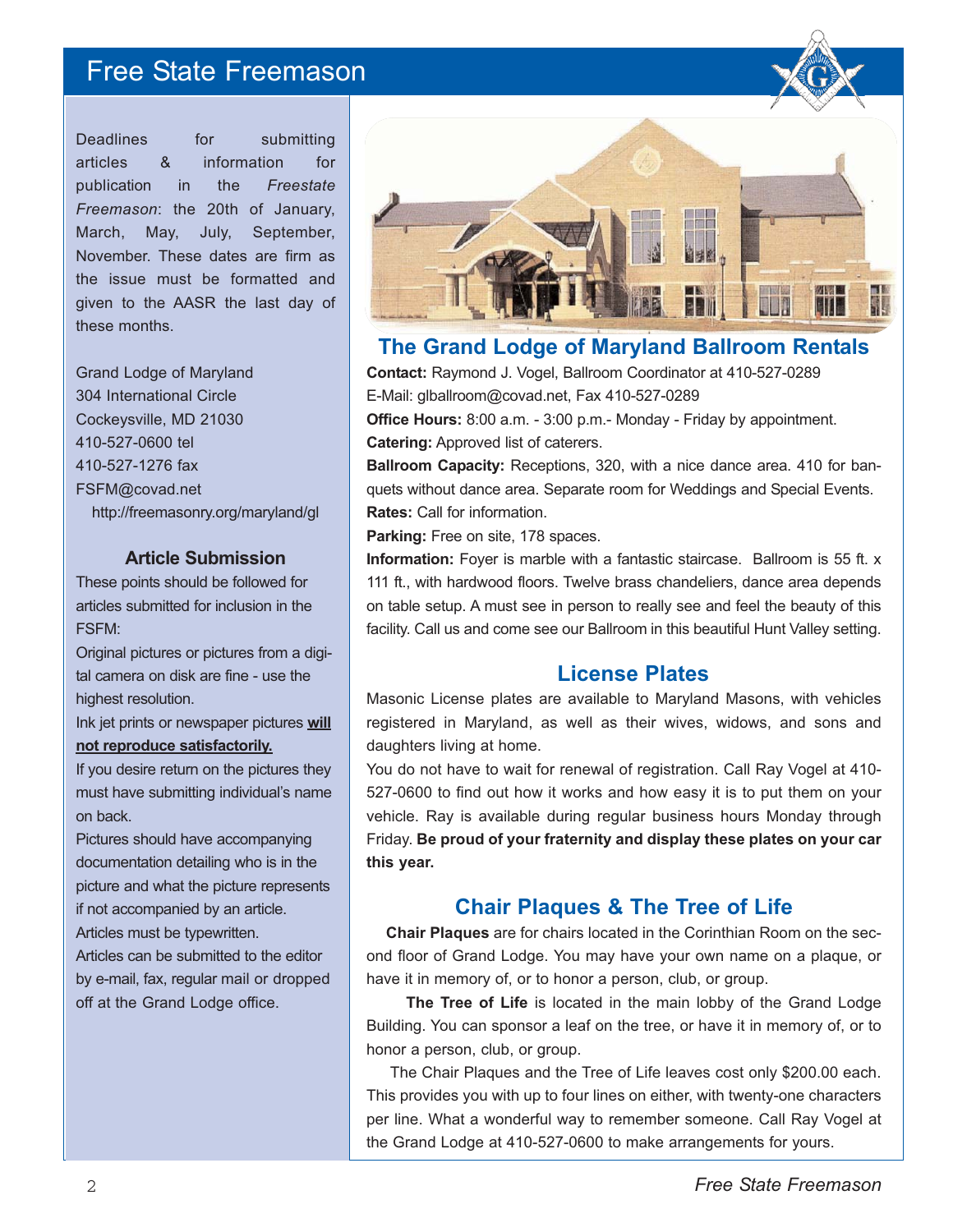Deadlines for submitting articles & information for publication in the *Freestate Freemason*: the 20th of January, March, May, July, September, November. These dates are firm as the issue must be formatted and given to the AASR the last day of these months.

Grand Lodge of Maryland 304 International Circle Cockeysville, MD 21030 410-527-0600 tel 410-527-1276 fax FSFM@covad.net http://freemasonry.org/maryland/gl

#### **Article Submission**

These points should be followed for articles submitted for inclusion in the FSFM:

Original pictures or pictures from a digital camera on disk are fine - use the highest resolution.

Ink jet prints or newspaper pictures **will not reproduce satisfactorily.**

If you desire return on the pictures they must have submitting individual's name on back.

Pictures should have accompanying documentation detailing who is in the picture and what the picture represents if not accompanied by an article.

Articles must be typewritten.

Articles can be submitted to the editor by e-mail, fax, regular mail or dropped off at the Grand Lodge office.



# **The Grand Lodge of Maryland Ballroom Rentals**

**Contact:** Raymond J. Vogel, Ballroom Coordinator at 410-527-0289 E-Mail: glballroom@covad.net, Fax 410-527-0289

**Office Hours:** 8:00 a.m. - 3:00 p.m.- Monday - Friday by appointment. **Catering:** Approved list of caterers.

**Ballroom Capacity:** Receptions, 320, with a nice dance area. 410 for banquets without dance area. Separate room for Weddings and Special Events. **Rates:** Call for information.

**Parking:** Free on site, 178 spaces.

**Information:** Foyer is marble with a fantastic staircase. Ballroom is 55 ft. x 111 ft., with hardwood floors. Twelve brass chandeliers, dance area depends on table setup. A must see in person to really see and feel the beauty of this facility. Call us and come see our Ballroom in this beautiful Hunt Valley setting.

## **License Plates**

Masonic License plates are available to Maryland Masons, with vehicles registered in Maryland, as well as their wives, widows, and sons and daughters living at home.

You do not have to wait for renewal of registration. Call Ray Vogel at 410- 527-0600 to find out how it works and how easy it is to put them on your vehicle. Ray is available during regular business hours Monday through Friday. **Be proud of your fraternity and display these plates on your car this year.**

# **Chair Plaques & The Tree of Life**

**Chair Plaques** are for chairs located in the Corinthian Room on the second floor of Grand Lodge. You may have your own name on a plaque, or have it in memory of, or to honor a person, club, or group.

**The Tree of Life** is located in the main lobby of the Grand Lodge Building. You can sponsor a leaf on the tree, or have it in memory of, or to honor a person, club, or group.

The Chair Plaques and the Tree of Life leaves cost only \$200.00 each. This provides you with up to four lines on either, with twenty-one characters per line. What a wonderful way to remember someone. Call Ray Vogel at the Grand Lodge at 410-527-0600 to make arrangements for yours.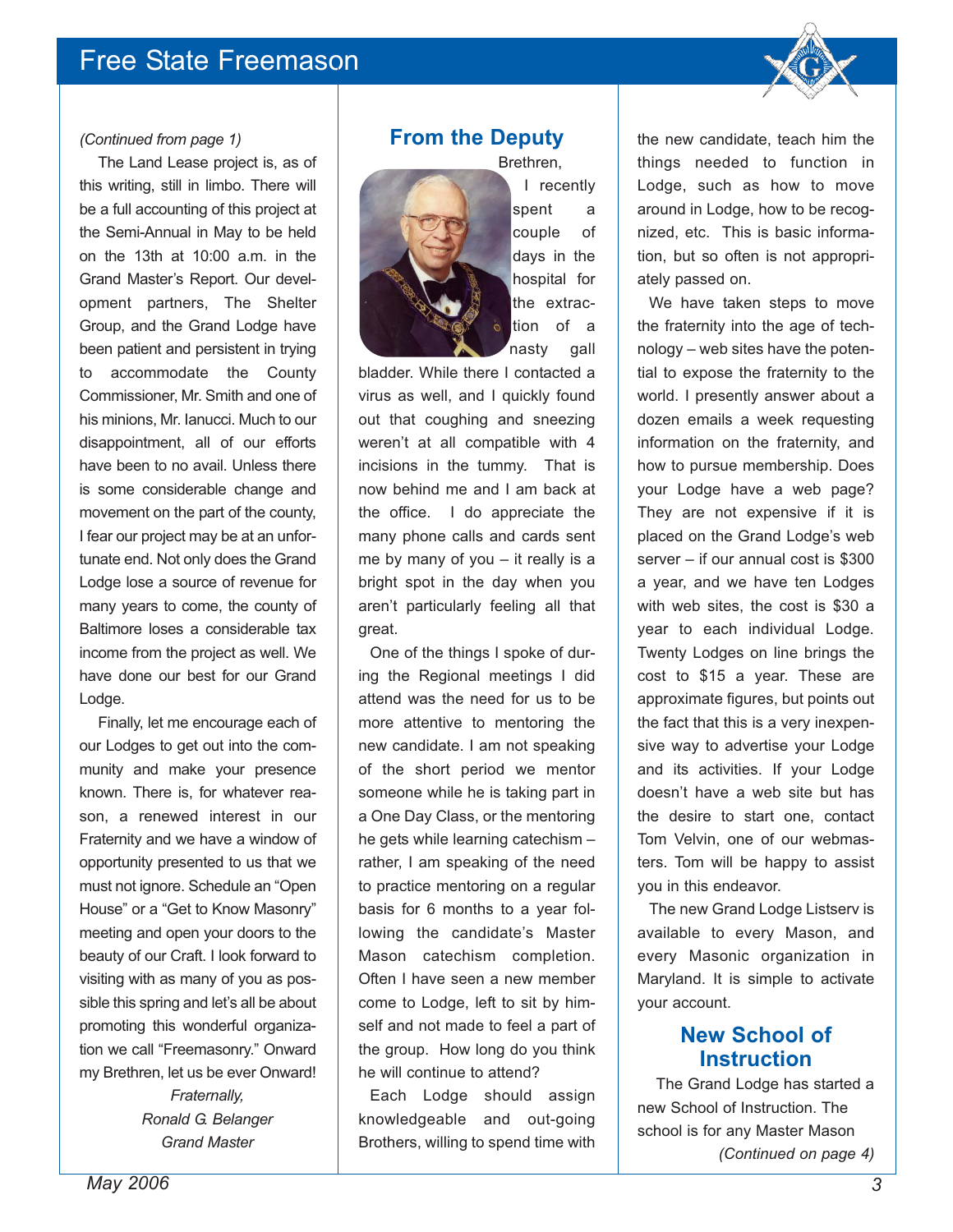

#### *(Continued from page 1)*

The Land Lease project is, as of this writing, still in limbo. There will be a full accounting of this project at the Semi-Annual in May to be held on the 13th at 10:00 a.m. in the Grand Master's Report. Our development partners, The Shelter Group, and the Grand Lodge have been patient and persistent in trying to accommodate the County Commissioner, Mr. Smith and one of his minions, Mr. Ianucci. Much to our disappointment, all of our efforts have been to no avail. Unless there is some considerable change and movement on the part of the county, I fear our project may be at an unfortunate end. Not only does the Grand Lodge lose a source of revenue for many years to come, the county of Baltimore loses a considerable tax income from the project as well. We have done our best for our Grand Lodge.

Finally, let me encourage each of our Lodges to get out into the community and make your presence known. There is, for whatever reason, a renewed interest in our Fraternity and we have a window of opportunity presented to us that we must not ignore. Schedule an "Open House" or a "Get to Know Masonry" meeting and open your doors to the beauty of our Craft. I look forward to visiting with as many of you as possible this spring and let's all be about promoting this wonderful organization we call "Freemasonry." Onward my Brethren, let us be ever Onward!

> *Fraternally, Ronald G. Belanger Grand Master*

## **From the Deputy**

Brethren,



I recently spent a couple of days in the hospital for the extraction of a nasty gall

bladder. While there I contacted a virus as well, and I quickly found out that coughing and sneezing weren't at all compatible with 4 incisions in the tummy. That is now behind me and I am back at the office. I do appreciate the many phone calls and cards sent me by many of you – it really is a bright spot in the day when you aren't particularly feeling all that great.

One of the things I spoke of during the Regional meetings I did attend was the need for us to be more attentive to mentoring the new candidate. I am not speaking of the short period we mentor someone while he is taking part in a One Day Class, or the mentoring he gets while learning catechism – rather, I am speaking of the need to practice mentoring on a regular basis for 6 months to a year following the candidate's Master Mason catechism completion. Often I have seen a new member come to Lodge, left to sit by himself and not made to feel a part of the group. How long do you think he will continue to attend?

Each Lodge should assign knowledgeable and out-going Brothers, willing to spend time with

the new candidate, teach him the things needed to function in Lodge, such as how to move around in Lodge, how to be recognized, etc. This is basic information, but so often is not appropriately passed on.

We have taken steps to move the fraternity into the age of technology – web sites have the potential to expose the fraternity to the world. I presently answer about a dozen emails a week requesting information on the fraternity, and how to pursue membership. Does your Lodge have a web page? They are not expensive if it is placed on the Grand Lodge's web server – if our annual cost is \$300 a year, and we have ten Lodges with web sites, the cost is \$30 a year to each individual Lodge. Twenty Lodges on line brings the cost to \$15 a year. These are approximate figures, but points out the fact that this is a very inexpensive way to advertise your Lodge and its activities. If your Lodge doesn't have a web site but has the desire to start one, contact Tom Velvin, one of our webmasters. Tom will be happy to assist you in this endeavor.

The new Grand Lodge Listserv is available to every Mason, and every Masonic organization in Maryland. It is simple to activate your account.

# **New School of Instruction**

The Grand Lodge has started a new School of Instruction. The school is for any Master Mason *(Continued on page 4)*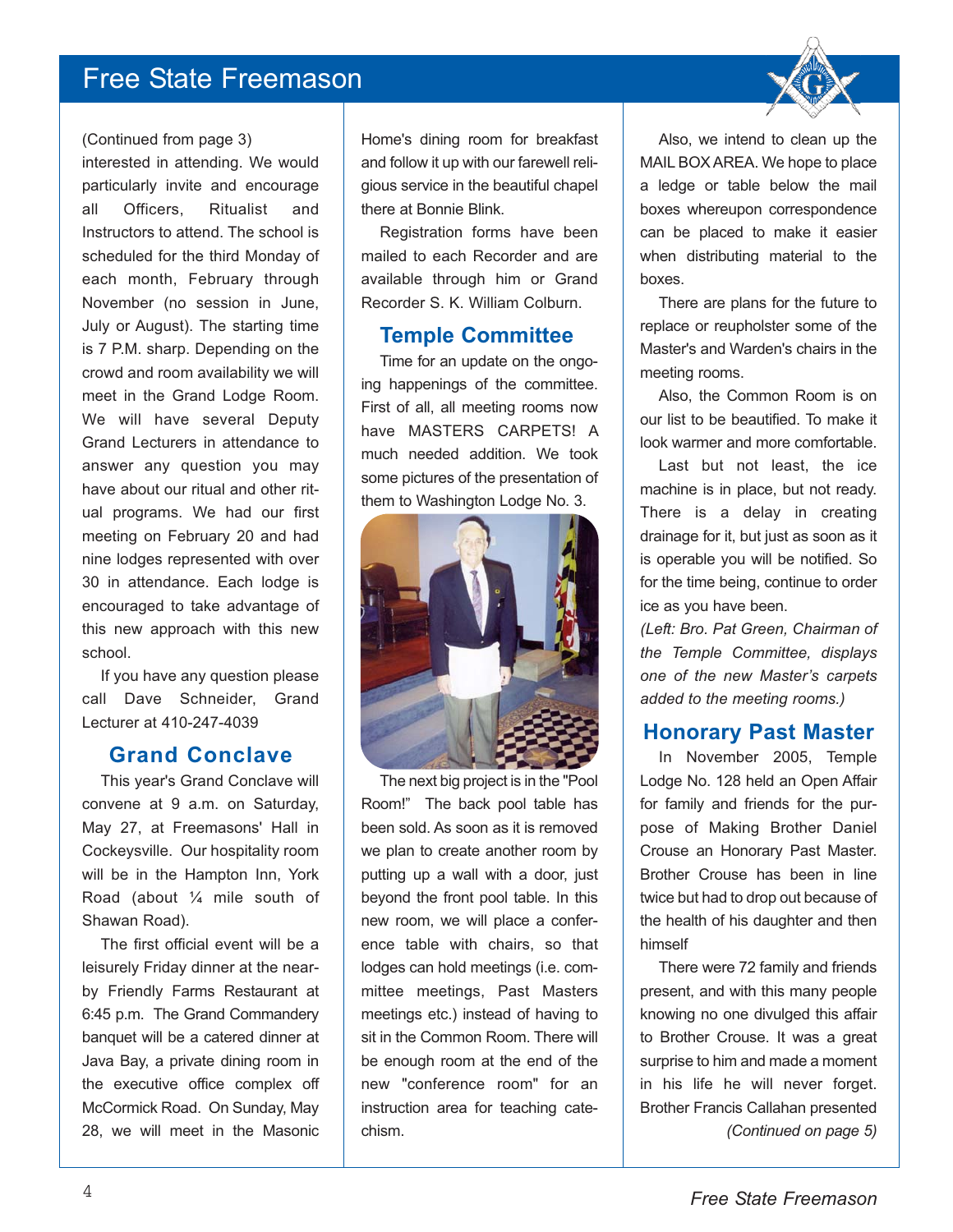

#### (Continued from page 3)

interested in attending. We would particularly invite and encourage all Officers, Ritualist and Instructors to attend. The school is scheduled for the third Monday of each month, February through November (no session in June, July or August). The starting time is 7 P.M. sharp. Depending on the crowd and room availability we will meet in the Grand Lodge Room. We will have several Deputy Grand Lecturers in attendance to answer any question you may have about our ritual and other ritual programs. We had our first meeting on February 20 and had nine lodges represented with over 30 in attendance. Each lodge is encouraged to take advantage of this new approach with this new school.

If you have any question please call Dave Schneider, Grand Lecturer at 410-247-4039

## **Grand Conclave**

This year's Grand Conclave will convene at 9 a.m. on Saturday, May 27, at Freemasons' Hall in Cockeysville. Our hospitality room will be in the Hampton Inn, York Road (about ¼ mile south of Shawan Road).

The first official event will be a leisurely Friday dinner at the nearby Friendly Farms Restaurant at 6:45 p.m. The Grand Commandery banquet will be a catered dinner at Java Bay, a private dining room in the executive office complex off McCormick Road. On Sunday, May 28, we will meet in the Masonic

Home's dining room for breakfast and follow it up with our farewell religious service in the beautiful chapel there at Bonnie Blink.

Registration forms have been mailed to each Recorder and are available through him or Grand Recorder S. K. William Colburn.

### **Temple Committee**

Time for an update on the ongoing happenings of the committee. First of all, all meeting rooms now have MASTERS CARPETS! A much needed addition. We took some pictures of the presentation of them to Washington Lodge No. 3.



The next big project is in the "Pool Room!" The back pool table has been sold. As soon as it is removed we plan to create another room by putting up a wall with a door, just beyond the front pool table. In this new room, we will place a conference table with chairs, so that lodges can hold meetings (i.e. committee meetings, Past Masters meetings etc.) instead of having to sit in the Common Room. There will be enough room at the end of the new "conference room" for an instruction area for teaching catechism.

Also, we intend to clean up the MAIL BOX AREA. We hope to place a ledge or table below the mail boxes whereupon correspondence can be placed to make it easier when distributing material to the boxes.

There are plans for the future to replace or reupholster some of the Master's and Warden's chairs in the meeting rooms.

Also, the Common Room is on our list to be beautified. To make it look warmer and more comfortable.

Last but not least, the ice machine is in place, but not ready. There is a delay in creating drainage for it, but just as soon as it is operable you will be notified. So for the time being, continue to order ice as you have been.

*(Left: Bro. Pat Green, Chairman of the Temple Committee, displays one of the new Master's carpets added to the meeting rooms.)*

### **Honorary Past Master**

In November 2005, Temple Lodge No. 128 held an Open Affair for family and friends for the purpose of Making Brother Daniel Crouse an Honorary Past Master. Brother Crouse has been in line twice but had to drop out because of the health of his daughter and then himself

There were 72 family and friends present, and with this many people knowing no one divulged this affair to Brother Crouse. It was a great surprise to him and made a moment in his life he will never forget. Brother Francis Callahan presented *(Continued on page 5)*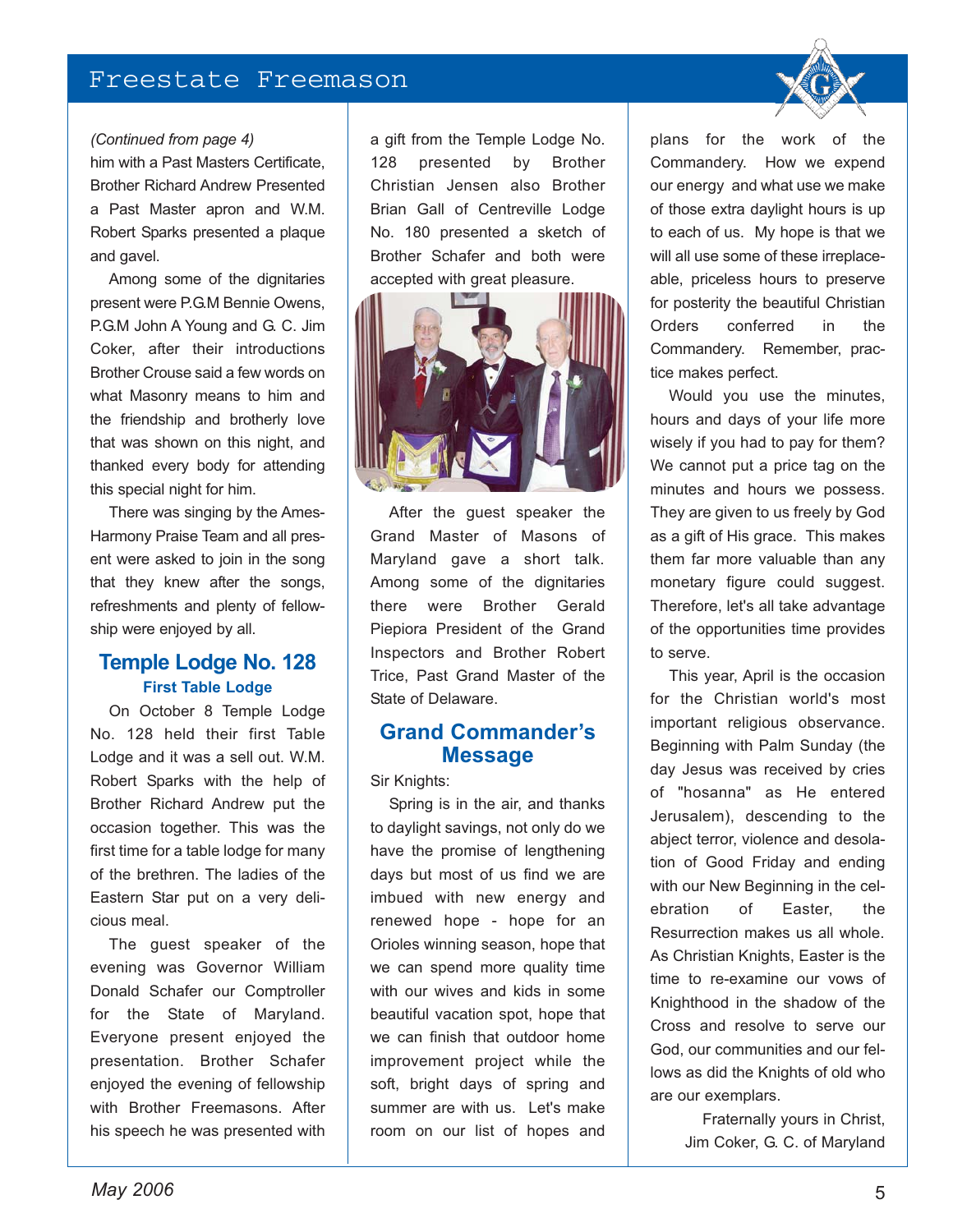#### *(Continued from page 4)*

him with a Past Masters Certificate, Brother Richard Andrew Presented a Past Master apron and W.M. Robert Sparks presented a plaque and gavel.

Among some of the dignitaries present were P.G.M Bennie Owens, P.G.M John A Young and G. C. Jim Coker, after their introductions Brother Crouse said a few words on what Masonry means to him and the friendship and brotherly love that was shown on this night, and thanked every body for attending this special night for him.

There was singing by the Ames-Harmony Praise Team and all present were asked to join in the song that they knew after the songs, refreshments and plenty of fellowship were enjoyed by all.

### **Temple Lodge No. 128 First Table Lodge**

On October 8 Temple Lodge No. 128 held their first Table Lodge and it was a sell out. W.M. Robert Sparks with the help of Brother Richard Andrew put the occasion together. This was the first time for a table lodge for many of the brethren. The ladies of the Eastern Star put on a very delicious meal.

The guest speaker of the evening was Governor William Donald Schafer our Comptroller for the State of Maryland. Everyone present enjoyed the presentation. Brother Schafer enjoyed the evening of fellowship with Brother Freemasons. After his speech he was presented with a gift from the Temple Lodge No. 128 presented by Brother Christian Jensen also Brother Brian Gall of Centreville Lodge No. 180 presented a sketch of Brother Schafer and both were accepted with great pleasure.



After the guest speaker the Grand Master of Masons of Maryland gave a short talk. Among some of the dignitaries there were Brother Gerald Piepiora President of the Grand Inspectors and Brother Robert Trice, Past Grand Master of the State of Delaware.

### **Grand Commander's Message**

Sir Knights:

Spring is in the air, and thanks to daylight savings, not only do we have the promise of lengthening days but most of us find we are imbued with new energy and renewed hope - hope for an Orioles winning season, hope that we can spend more quality time with our wives and kids in some beautiful vacation spot, hope that we can finish that outdoor home improvement project while the soft, bright days of spring and summer are with us. Let's make room on our list of hopes and

plans for the work of the Commandery. How we expend our energy and what use we make of those extra daylight hours is up to each of us. My hope is that we will all use some of these irreplaceable, priceless hours to preserve for posterity the beautiful Christian Orders conferred in the Commandery. Remember, practice makes perfect.

Would you use the minutes, hours and days of your life more wisely if you had to pay for them? We cannot put a price tag on the minutes and hours we possess. They are given to us freely by God as a gift of His grace. This makes them far more valuable than any monetary figure could suggest. Therefore, let's all take advantage of the opportunities time provides to serve.

This year, April is the occasion for the Christian world's most important religious observance. Beginning with Palm Sunday (the day Jesus was received by cries of "hosanna" as He entered Jerusalem), descending to the abject terror, violence and desolation of Good Friday and ending with our New Beginning in the celebration of Easter, the Resurrection makes us all whole. As Christian Knights, Easter is the time to re-examine our vows of Knighthood in the shadow of the Cross and resolve to serve our God, our communities and our fellows as did the Knights of old who are our exemplars.

> Fraternally yours in Christ, Jim Coker, G. C. of Maryland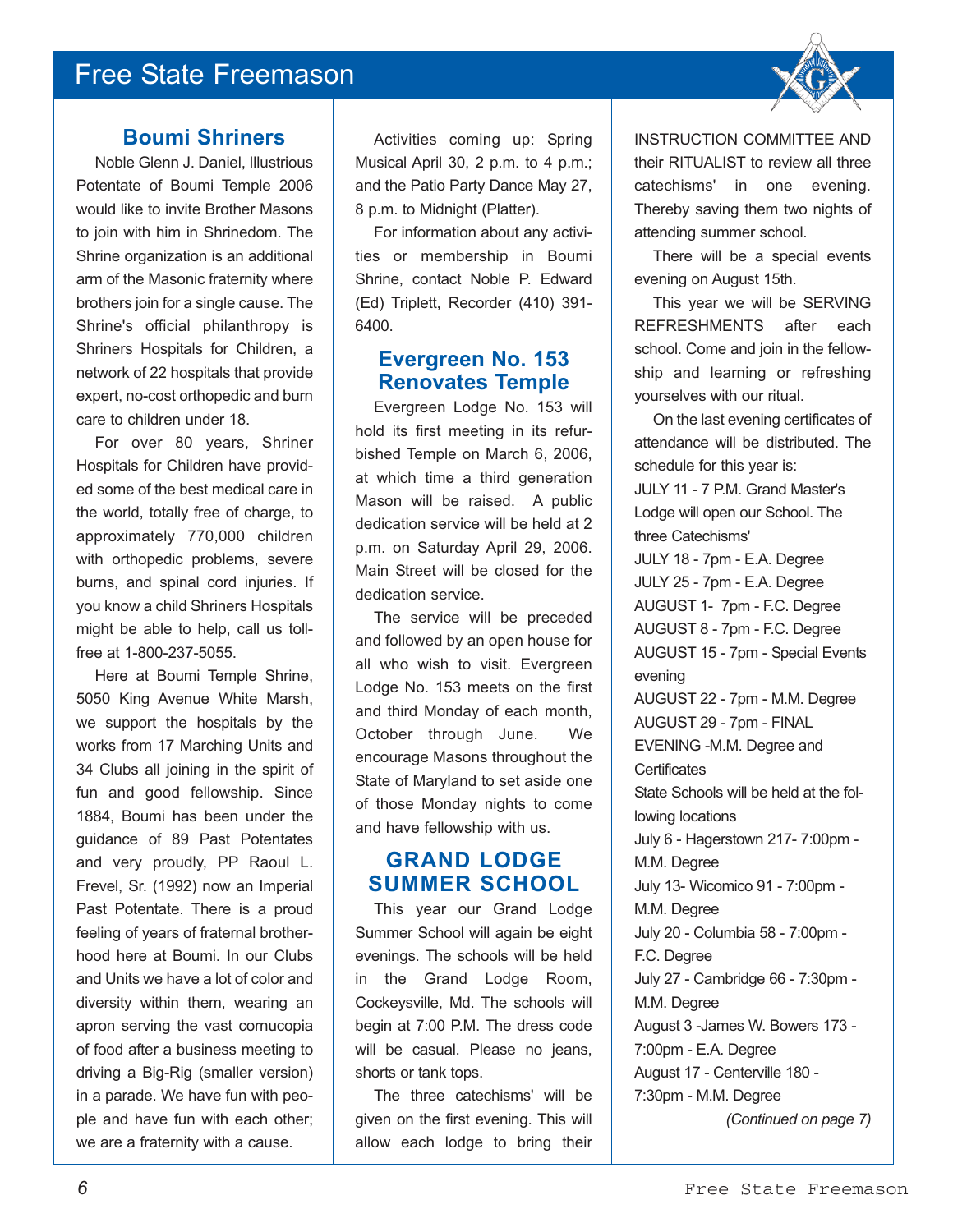

#### **Boumi Shriners**

Noble Glenn J. Daniel, Illustrious Potentate of Boumi Temple 2006 would like to invite Brother Masons to join with him in Shrinedom. The Shrine organization is an additional arm of the Masonic fraternity where brothers join for a single cause. The Shrine's official philanthropy is Shriners Hospitals for Children, a network of 22 hospitals that provide expert, no-cost orthopedic and burn care to children under 18.

For over 80 years, Shriner Hospitals for Children have provided some of the best medical care in the world, totally free of charge, to approximately 770,000 children with orthopedic problems, severe burns, and spinal cord injuries. If you know a child Shriners Hospitals might be able to help, call us tollfree at 1-800-237-5055.

Here at Boumi Temple Shrine, 5050 King Avenue White Marsh, we support the hospitals by the works from 17 Marching Units and 34 Clubs all joining in the spirit of fun and good fellowship. Since 1884, Boumi has been under the guidance of 89 Past Potentates and very proudly, PP Raoul L. Frevel, Sr. (1992) now an Imperial Past Potentate. There is a proud feeling of years of fraternal brotherhood here at Boumi. In our Clubs and Units we have a lot of color and diversity within them, wearing an apron serving the vast cornucopia of food after a business meeting to driving a Big-Rig (smaller version) in a parade. We have fun with people and have fun with each other; we are a fraternity with a cause.

Activities coming up: Spring Musical April 30, 2 p.m. to 4 p.m.; and the Patio Party Dance May 27, 8 p.m. to Midnight (Platter).

For information about any activities or membership in Boumi Shrine, contact Noble P. Edward (Ed) Triplett, Recorder (410) 391- 6400.

## **Evergreen No. 153 Renovates Temple**

Evergreen Lodge No. 153 will hold its first meeting in its refurbished Temple on March 6, 2006, at which time a third generation Mason will be raised. A public dedication service will be held at 2 p.m. on Saturday April 29, 2006. Main Street will be closed for the dedication service.

The service will be preceded and followed by an open house for all who wish to visit. Evergreen Lodge No. 153 meets on the first and third Monday of each month, October through June. We encourage Masons throughout the State of Maryland to set aside one of those Monday nights to come and have fellowship with us.

# **GRAND LODGE SUMMER SCHOOL**

This year our Grand Lodge Summer School will again be eight evenings. The schools will be held in the Grand Lodge Room, Cockeysville, Md. The schools will begin at 7:00 P.M. The dress code will be casual. Please no jeans, shorts or tank tops.

The three catechisms' will be given on the first evening. This will allow each lodge to bring their

INSTRUCTION COMMITTEE AND their RITUALIST to review all three catechisms' in one evening. Thereby saving them two nights of attending summer school.

There will be a special events evening on August 15th.

This year we will be SERVING REFRESHMENTS after each school. Come and join in the fellowship and learning or refreshing yourselves with our ritual.

On the last evening certificates of attendance will be distributed. The schedule for this year is: JULY 11 - 7 P.M. Grand Master's Lodge will open our School. The three Catechisms' JULY 18 - 7pm - E.A. Degree JULY 25 - 7pm - E.A. Degree AUGUST 1- 7pm - F.C. Degree AUGUST 8 - 7pm - F.C. Degree AUGUST 15 - 7pm - Special Events evening AUGUST 22 - 7pm - M.M. Degree AUGUST 29 - 7pm - FINAL EVENING -M.M. Degree and **Certificates** State Schools will be held at the following locations July 6 - Hagerstown 217- 7:00pm - M.M. Degree July 13- Wicomico 91 - 7:00pm - M.M. Degree July 20 - Columbia 58 - 7:00pm - F.C. Degree July 27 - Cambridge 66 - 7:30pm - M.M. Degree August 3 -James W. Bowers 173 - 7:00pm - E.A. Degree August 17 - Centerville 180 - 7:30pm - M.M. Degree *(Continued on page 7)*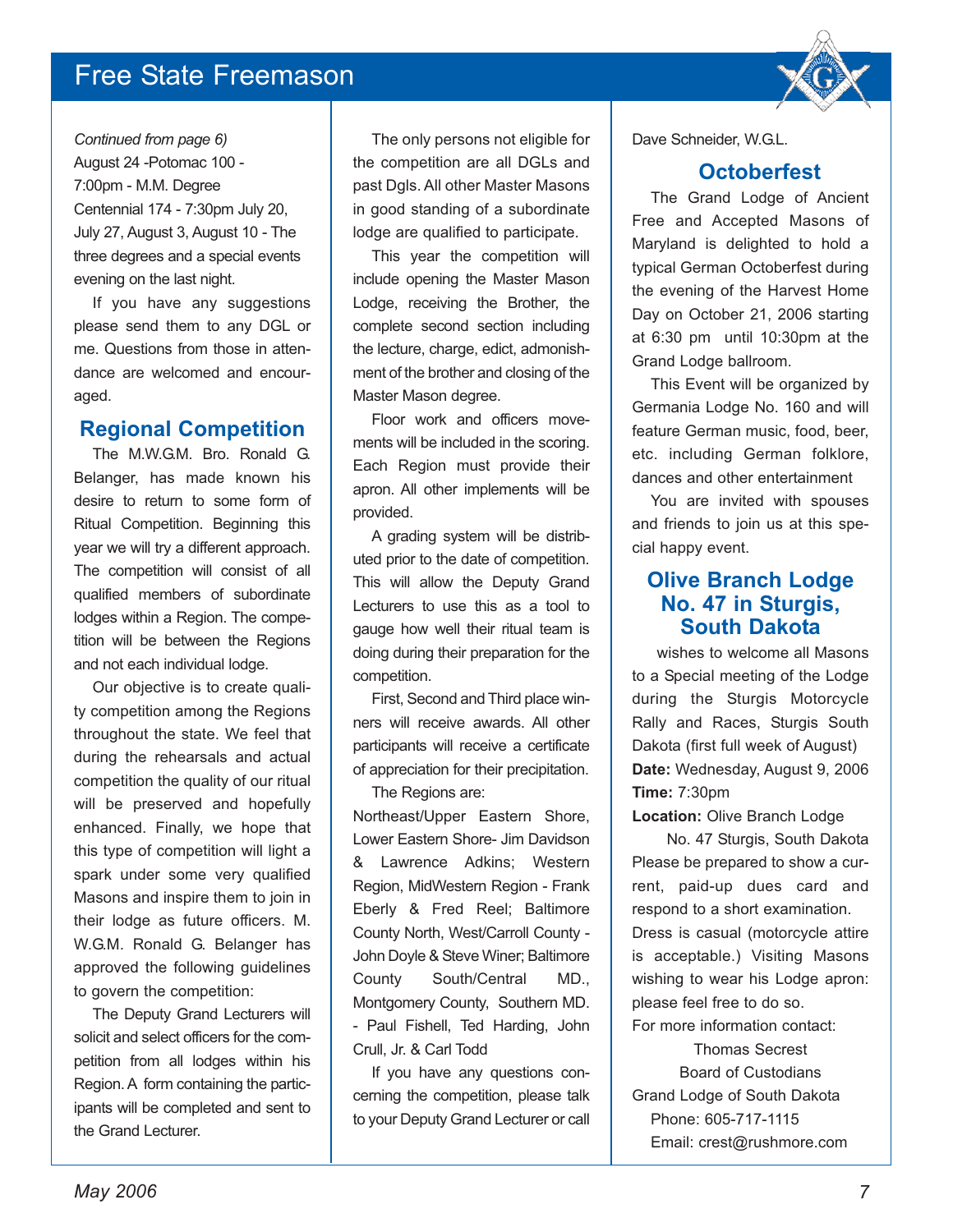*Continued from page 6)* August 24 -Potomac 100 - 7:00pm - M.M. Degree Centennial 174 - 7:30pm July 20, July 27, August 3, August 10 - The three degrees and a special events evening on the last night.

If you have any suggestions please send them to any DGL or me. Questions from those in attendance are welcomed and encouraged.

### **Regional Competition**

The M.W.G.M. Bro. Ronald G. Belanger, has made known his desire to return to some form of Ritual Competition. Beginning this year we will try a different approach. The competition will consist of all qualified members of subordinate lodges within a Region. The competition will be between the Regions and not each individual lodge.

Our objective is to create quality competition among the Regions throughout the state. We feel that during the rehearsals and actual competition the quality of our ritual will be preserved and hopefully enhanced. Finally, we hope that this type of competition will light a spark under some very qualified Masons and inspire them to join in their lodge as future officers. M. W.G.M. Ronald G. Belanger has approved the following guidelines to govern the competition:

The Deputy Grand Lecturers will solicit and select officers for the competition from all lodges within his Region. A form containing the participants will be completed and sent to the Grand Lecturer.

The only persons not eligible for the competition are all DGLs and past Dgls. All other Master Masons in good standing of a subordinate lodge are qualified to participate.

This year the competition will include opening the Master Mason Lodge, receiving the Brother, the complete second section including the lecture, charge, edict, admonishment of the brother and closing of the Master Mason degree.

Floor work and officers movements will be included in the scoring. Each Region must provide their apron. All other implements will be provided.

A grading system will be distributed prior to the date of competition. This will allow the Deputy Grand Lecturers to use this as a tool to gauge how well their ritual team is doing during their preparation for the competition.

First, Second and Third place winners will receive awards. All other participants will receive a certificate of appreciation for their precipitation. The Regions are:

Northeast/Upper Eastern Shore, Lower Eastern Shore- Jim Davidson & Lawrence Adkins; Western Region, MidWestern Region - Frank Eberly & Fred Reel; Baltimore County North, West/Carroll County - John Doyle & Steve Winer; Baltimore County South/Central MD., Montgomery County, Southern MD. - Paul Fishell, Ted Harding, John Crull, Jr. & Carl Todd

If you have any questions concerning the competition, please talk to your Deputy Grand Lecturer or call Dave Schneider, W.G.L.

## **Octoberfest**

The Grand Lodge of Ancient Free and Accepted Masons of Maryland is delighted to hold a typical German Octoberfest during the evening of the Harvest Home Day on October 21, 2006 starting at 6:30 pm until 10:30pm at the Grand Lodge ballroom.

This Event will be organized by Germania Lodge No. 160 and will feature German music, food, beer, etc. including German folklore, dances and other entertainment

You are invited with spouses and friends to join us at this special happy event.

## **Olive Branch Lodge No. 47 in Sturgis, South Dakota**

wishes to welcome all Masons to a Special meeting of the Lodge during the Sturgis Motorcycle Rally and Races, Sturgis South Dakota (first full week of August) **Date:** Wednesday, August 9, 2006 **Time:** 7:30pm

#### **Location:** Olive Branch Lodge

No. 47 Sturgis, South Dakota Please be prepared to show a current, paid-up dues card and respond to a short examination. Dress is casual (motorcycle attire is acceptable.) Visiting Masons wishing to wear his Lodge apron: please feel free to do so. For more information contact:

Thomas Secrest Board of Custodians Grand Lodge of South Dakota Phone: 605-717-1115 Email: crest@rushmore.com